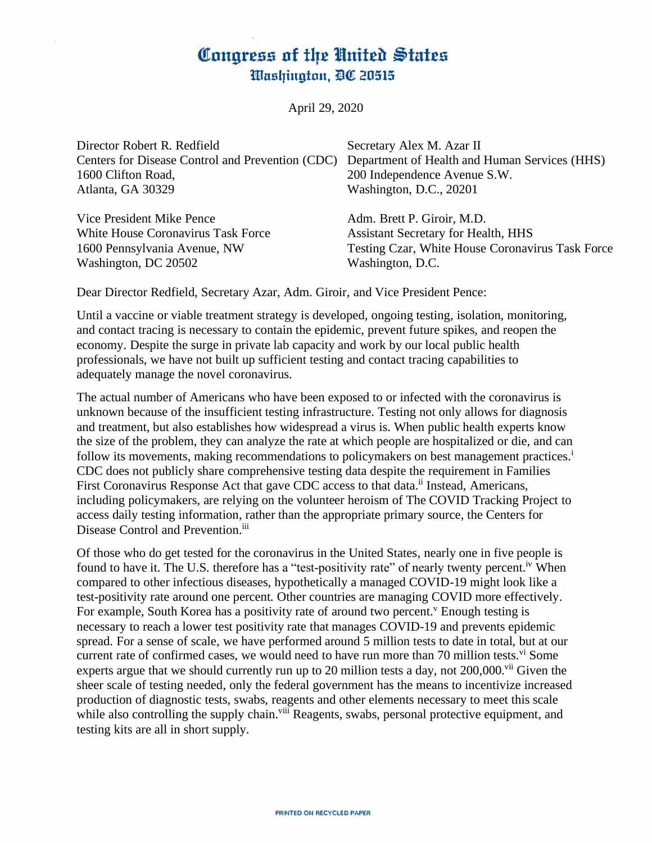# Congress of the United States Washington, DC 20515

April 29, 2020

| Director Robert R. Redfield                      | Secretary Alex M. Azar II                        |
|--------------------------------------------------|--------------------------------------------------|
| Centers for Disease Control and Prevention (CDC) | Department of Health and Human Services (HHS)    |
| 1600 Clifton Road,                               | 200 Independence Avenue S.W.                     |
| Atlanta, GA 30329                                | Washington, D.C., 20201                          |
| Vice President Mike Pence                        | Adm. Brett P. Giroir, M.D.                       |
| White House Coronavirus Task Force               | <b>Assistant Secretary for Health, HHS</b>       |
| 1600 Pennsylvania Avenue, NW                     | Testing Czar, White House Coronavirus Task Force |

Washington, D.C.

Dear Director Redfield, Secretary Azar, Adm. Giroir, and Vice President Pence:

Washington, DC 20502

Until a vaccine or viable treatment strategy is developed, ongoing testing, isolation, monitoring, and contact tracing is necessary to contain the epidemic, prevent future spikes, and reopen the economy. Despite the surge in private lab capacity and work by our local public health professionals, we have not built up sufficient testing and contact tracing capabilities to adequately manage the novel coronavirus.

The actual number of Americans who have been exposed to or infected with the coronavirus is unknown because of the insufficient testing infrastructure. Testing not only allows for diagnosis and treatment, but also establishes how widespread a virus is. When public health experts know the size of the problem, they can analyze the rate at which people are hospitalized or die, and can follow its movements, making recommendations to policymakers on best management practices.<sup>i</sup> CDC does not publicly share comprehensive testing data despite the requirement in Families First Coronavirus Response Act that gave CDC access to that data.<sup>ii</sup> Instead, Americans, including policymakers, are relying on the volunteer heroism of The COVID Tracking Project to access daily testing information, rather than the appropriate primary source, the Centers for Disease Control and Prevention.<sup>iii</sup>

Of those who do get tested for the coronavirus in the United States, nearly one in five people is found to have it. The U.S. therefore has a "test-positivity rate" of nearly twenty percent.<sup>iv</sup> When compared to other infectious diseases, hypothetically a managed COVID-19 might look like a test-positivity rate around one percent. Other countries are managing COVID more effectively. For example, South Korea has a positivity rate of around two percent. Enough testing is necessary to reach a lower test positivity rate that manages COVID-19 and prevents epidemic spread. For a sense of scale, we have performed around 5 million tests to date in total, but at our current rate of confirmed cases, we would need to have run more than 70 million tests.  $\frac{v_i}{v}$  Some experts argue that we should currently run up to 20 million tests a day, not  $200,000$ .<sup>vii</sup> Given the sheer scale of testing needed, only the federal government has the means to incentivize increased production of diagnostic tests, swabs, reagents and other elements necessary to meet this scale while also controlling the supply chain.<sup>viii</sup> Reagents, swabs, personal protective equipment, and testing kits are all in short supply.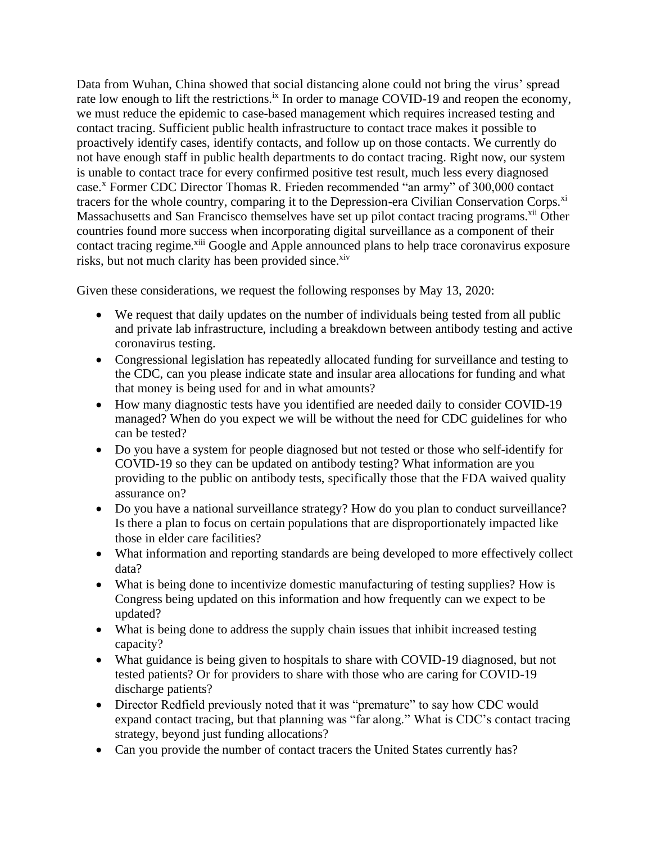Data from Wuhan, China showed that social distancing alone could not bring the virus' spread rate low enough to lift the restrictions.<sup>ix</sup> In order to manage COVID-19 and reopen the economy, we must reduce the epidemic to case-based management which requires increased testing and contact tracing. Sufficient public health infrastructure to contact trace makes it possible to proactively identify cases, identify contacts, and follow up on those contacts. We currently do not have enough staff in public health departments to do contact tracing. Right now, our system is unable to contact trace for every confirmed positive test result, much less every diagnosed case.<sup>x</sup> Former CDC Director Thomas R. Frieden recommended "an army" of 300,000 contact tracers for the whole country, comparing it to the Depression-era Civilian Conservation Corps.<sup>xi</sup> Massachusetts and San Francisco themselves have set up pilot contact tracing programs.<sup>xii</sup> Other countries found more success when incorporating digital surveillance as a component of their contact tracing regime.<sup>xiii</sup> Google and Apple announced plans to help trace coronavirus exposure risks, but not much clarity has been provided since.<sup>xiv</sup>

Given these considerations, we request the following responses by May 13, 2020:

- We request that daily updates on the number of individuals being tested from all public and private lab infrastructure, including a breakdown between antibody testing and active coronavirus testing.
- Congressional legislation has repeatedly allocated funding for surveillance and testing to the CDC, can you please indicate state and insular area allocations for funding and what that money is being used for and in what amounts?
- How many diagnostic tests have you identified are needed daily to consider COVID-19 managed? When do you expect we will be without the need for CDC guidelines for who can be tested?
- Do you have a system for people diagnosed but not tested or those who self-identify for COVID-19 so they can be updated on antibody testing? What information are you providing to the public on antibody tests, specifically those that the FDA waived quality assurance on?
- Do you have a national surveillance strategy? How do you plan to conduct surveillance? Is there a plan to focus on certain populations that are disproportionately impacted like those in elder care facilities?
- What information and reporting standards are being developed to more effectively collect data?
- What is being done to incentivize domestic manufacturing of testing supplies? How is Congress being updated on this information and how frequently can we expect to be updated?
- What is being done to address the supply chain issues that inhibit increased testing capacity?
- What guidance is being given to hospitals to share with COVID-19 diagnosed, but not tested patients? Or for providers to share with those who are caring for COVID-19 discharge patients?
- Director Redfield previously noted that it was "premature" to say how CDC would expand contact tracing, but that planning was "far along." What is CDC's contact tracing strategy, beyond just funding allocations?
- Can you provide the number of contact tracers the United States currently has?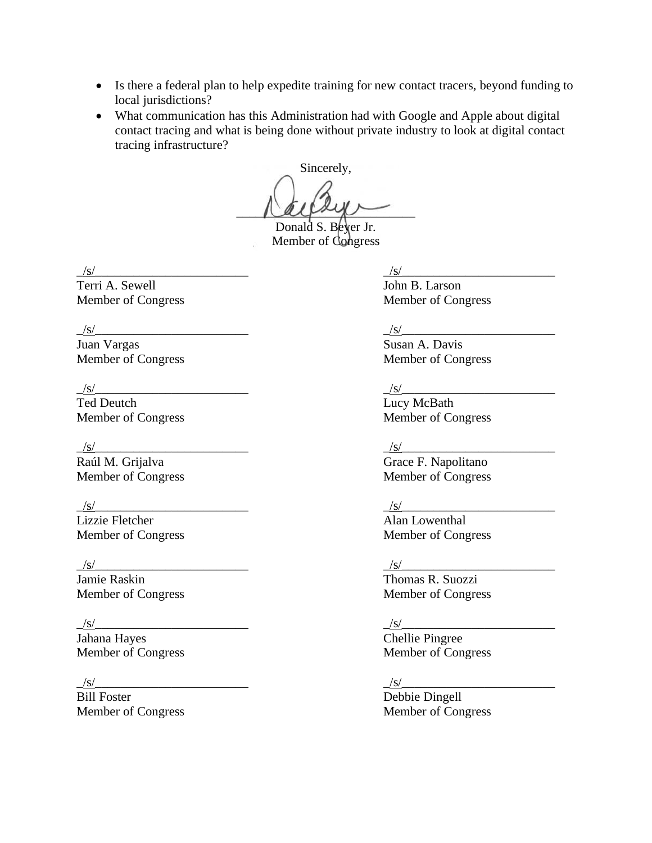- Is there a federal plan to help expedite training for new contact tracers, beyond funding to local jurisdictions?
- What communication has this Administration had with Google and Apple about digital contact tracing and what is being done without private industry to look at digital contact tracing infrastructure?

Sincerely,  $\alpha$ 

Donald S. Beyer Jr. Member of Congress

 $\frac{|s|}{\text{Terri A. Sewell}}$   $\frac{|\frac{|s|}{\text{John B. Larson}}$ Terri A. Sewell

 $\frac{|s|}{\text{ Juan Vargas}}$ <br>Member of Congress

 $\frac{|s|}{\text{red} \text{ Deutch}}$ <br>
Ted Deutch<br>
Member of Congress<br>
Member of Congress Member of Congress

\_/s/\_\_\_\_\_\_\_\_\_\_\_\_\_\_\_\_\_\_\_\_\_\_\_\_ \_/s/\_\_\_\_\_\_\_\_\_\_\_\_\_\_\_\_\_\_\_\_\_\_\_\_

Lizzie Fletcher **Alan Lowenthal** 

\_/s/\_\_\_\_\_\_\_\_\_\_\_\_\_\_\_\_\_\_\_\_\_\_\_\_ \_/s/\_\_\_\_\_\_\_\_\_\_\_\_\_\_\_\_\_\_\_\_\_\_\_\_ Jamie Raskin Thomas R. Suozzi

 $\frac{|s|}{\text{Jahana Hayes}}$ <br>
Member of Congress Chellie Pingree<br>
Member of Congress Member of Congress

 $/s/$ 

Bill Foster Debbie Dingell Member of Congress Member of Congress

Member of Congress Member of Congress

 $\frac{|s|}{\text{Susan A. Davis}}$ Member of Congress

 $\frac{|s|}{\text{Lucy MeBath}}$ 

## $/s/$

Raúl M. Grijalva Grace F. Napolitano Member of Congress Member of Congress

Member of Congress Member of Congress

Member of Congress Member of Congress

 $\frac{|s|}{\text{Chellie Pingree}}$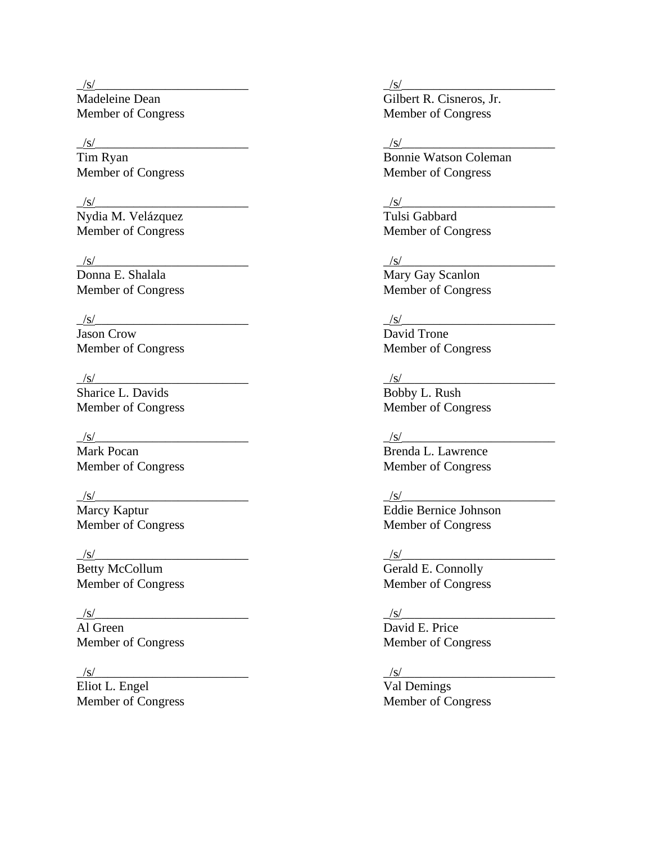Madeleine Dean Gilbert R. Cisneros, Jr.

Nydia M. Velázquez  $\Gamma$ ulsi Gabbard Member of Congress Member of Congress

Member of Congress

 $\frac{|s|}{\text{Jason Crow}}$ 

 $\frac{S}{S}$ Sharice L. Davids Member of Congress Member of Congress

Mark Pocan **Brenda L. Lawrence** 

## \_/s/\_\_\_\_\_\_\_\_\_\_\_\_\_\_\_\_\_\_\_\_\_\_\_\_ \_/s/\_\_\_\_\_\_\_\_\_\_\_\_\_\_\_\_\_\_\_\_\_\_\_\_

Betty McCollum Gerald E. Connolly

Al Green David E. Price

Eliot L. Engel Val Demings Member of Congress Member of Congress

## \_/s/\_\_\_\_\_\_\_\_\_\_\_\_\_\_\_\_\_\_\_\_\_\_\_\_ \_/s/\_\_\_\_\_\_\_\_\_\_\_\_\_\_\_\_\_\_\_\_\_\_\_\_

Member of Congress Member of Congress

## \_/s/\_\_\_\_\_\_\_\_\_\_\_\_\_\_\_\_\_\_\_\_\_\_\_\_ \_/s/\_\_\_\_\_\_\_\_\_\_\_\_\_\_\_\_\_\_\_\_\_\_\_\_

Tim Ryan Bonnie Watson Coleman Member of Congress Member of Congress

## \_/s/\_\_\_\_\_\_\_\_\_\_\_\_\_\_\_\_\_\_\_\_\_\_\_\_ \_/s/\_\_\_\_\_\_\_\_\_\_\_\_\_\_\_\_\_\_\_\_\_\_\_\_

 $\frac{|s|}{\text{Mary Gay Scandin}}$ SAN Donna E. Shalala Mary Gay Scanlon<br>
Mary Gay Scanlon<br>
Member of Congress

 $\frac{|s|}{\text{David Trone}}$ Member of Congress Member of Congress

 $\frac{/s/}{\mbox{Bobby L. Rush}}$ 

## \_/s/\_\_\_\_\_\_\_\_\_\_\_\_\_\_\_\_\_\_\_\_\_\_\_\_ \_/s/\_\_\_\_\_\_\_\_\_\_\_\_\_\_\_\_\_\_\_\_\_\_\_\_

Member of Congress Member of Congress

## \_/s/\_\_\_\_\_\_\_\_\_\_\_\_\_\_\_\_\_\_\_\_\_\_\_\_ \_/s/\_\_\_\_\_\_\_\_\_\_\_\_\_\_\_\_\_\_\_\_\_\_\_\_

Marcy Kaptur Eddie Bernice Johnson Member of Congress Member of Congress

Member of Congress Member of Congress

# $/s/$

Member of Congress Member of Congress

## \_/s/\_\_\_\_\_\_\_\_\_\_\_\_\_\_\_\_\_\_\_\_\_\_\_\_ \_/s/\_\_\_\_\_\_\_\_\_\_\_\_\_\_\_\_\_\_\_\_\_\_\_\_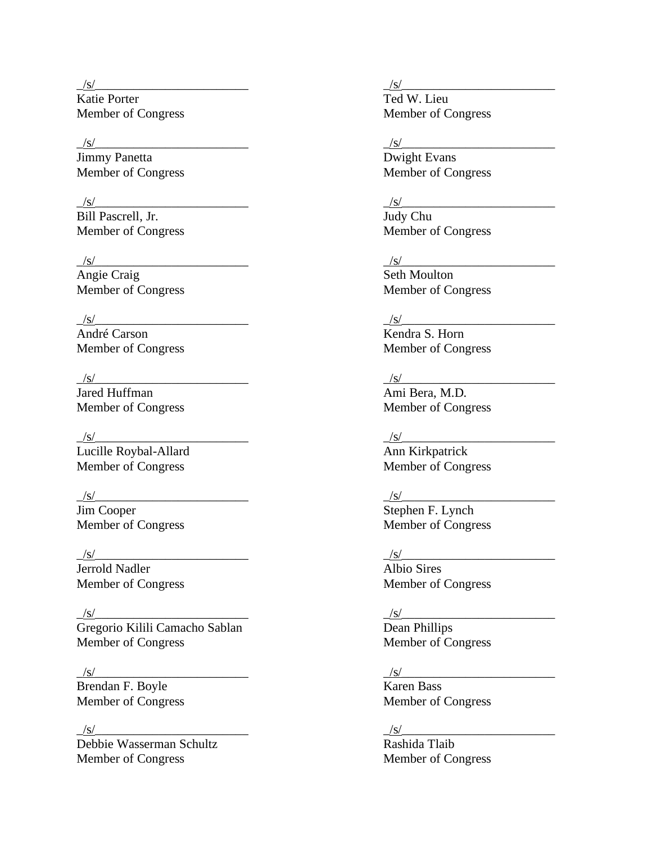$\frac{|s|}{\text{Katie Porter}}$ Member of Congress Member of Congress

 $\frac{|s|}{\text{Jimmy Panetta}}$ 

Member of Congress

 $\frac{S}{\text{Angle Craig}}$ 

## $/s/$

André Carson **Kendra S. Horn** 

 $/s/$ 

Jared Huffman Ami Bera, M.D.

 $\frac{1/8}{\text{Lucille Royal-Allard}}$ Member of Congress Member of Congress

 $\frac{S}{\text{Jim Cooper}}$ Member of Congress Member of Congress

Jerrold Nadler

 $/s/$ 

Gregorio Kilili Camacho Sablan Dean Phillips Member of Congress Member of Congress

 $\frac{|s|}{\text{Brendan F. Boyle}}$ 

 $\frac{S}{\text{Debbie Wasserman Schultz}}$ Member of Congress Member of Congress

 $\frac{S}{\text{red W. Lieu}}$ 

 $\frac{|s|}{\text{Divight Evans}}$ Member of Congress Member of Congress

# $/s/$

Bill Pascrell, Jr.<br>
Member of Congress<br>
Member of Congress

 $\frac{|s|}{\text{Seth} \text{ Moulton}}$ Member of Congress Member of Congress

Member of Congress Member of Congress

Member of Congress Member of Congress

 $\frac{|s|}{\text{Ann Kirkpatrick}}$ 

 $\frac{|s|}{\text{Stephen F. Lynch}}$ 

 $\frac{|s|}{\text{Jerrold Nadler}}$   $\frac{|s|}{\text{Albio Sires}}$ Member of Congress Member of Congress

 $\frac{|s|}{\text{Karen Bass}}$ Member of Congress Member of Congress

 $\frac{|s|}{\text{Rashida Tlaib}}$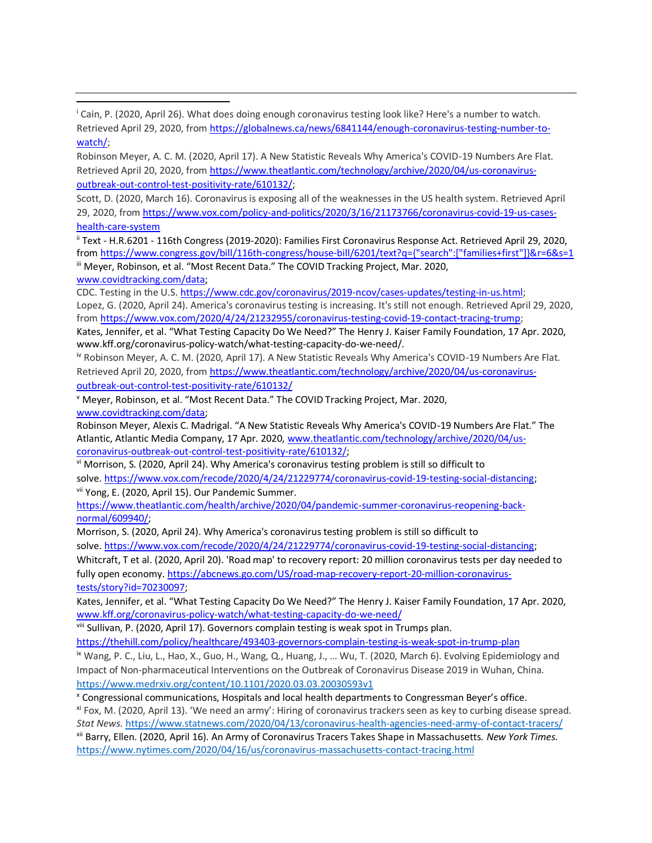<sup>i</sup> Cain, P. (2020, April 26). What does doing enough coronavirus testing look like? Here's a number to watch. Retrieved April 29, 2020, from [https://globalnews.ca/news/6841144/enough-coronavirus-testing-number-to](https://urldefense.proofpoint.com/v2/url?u=https-3A__globalnews.ca_news_6841144_enough-2Dcoronavirus-2Dtesting-2Dnumber-2Dto-2Dwatch_&d=DwMFaQ&c=L93KkjKsAC98uTvC4KvQDdTDRzAeWDDRmG6S3YXllH0&r=IswHP2IGOIoy18qVaO0xaw_c3TXqQqtEOjNGtVkT5f8&m=uryeFExGTVWrKxAh9HEEfDMq2UNb7c9qzd_4paqORqQ&s=jl3LC7EKvMASI3FzTNaCqjKEBrMvm9wJsFIysMWeiHo&e=)[watch/;](https://urldefense.proofpoint.com/v2/url?u=https-3A__globalnews.ca_news_6841144_enough-2Dcoronavirus-2Dtesting-2Dnumber-2Dto-2Dwatch_&d=DwMFaQ&c=L93KkjKsAC98uTvC4KvQDdTDRzAeWDDRmG6S3YXllH0&r=IswHP2IGOIoy18qVaO0xaw_c3TXqQqtEOjNGtVkT5f8&m=uryeFExGTVWrKxAh9HEEfDMq2UNb7c9qzd_4paqORqQ&s=jl3LC7EKvMASI3FzTNaCqjKEBrMvm9wJsFIysMWeiHo&e=)

Robinson Meyer, A. C. M. (2020, April 17). A New Statistic Reveals Why America's COVID-19 Numbers Are Flat. Retrieved April 20, 2020, from [https://www.theatlantic.com/technology/archive/2020/04/us-coronavirus](https://urldefense.proofpoint.com/v2/url?u=https-3A__www.theatlantic.com_technology_archive_2020_04_us-2Dcoronavirus-2Doutbreak-2Dout-2Dcontrol-2Dtest-2Dpositivity-2Drate_610132_&d=DwMFaQ&c=L93KkjKsAC98uTvC4KvQDdTDRzAeWDDRmG6S3YXllH0&r=IswHP2IGOIoy18qVaO0xaw_c3TXqQqtEOjNGtVkT5f8&m=uryeFExGTVWrKxAh9HEEfDMq2UNb7c9qzd_4paqORqQ&s=oaYjj84lAR05aTvmTnzzfY-OORwgIF0H7D_GCUN3IGM&e=)[outbreak-out-control-test-positivity-rate/610132/;](https://urldefense.proofpoint.com/v2/url?u=https-3A__www.theatlantic.com_technology_archive_2020_04_us-2Dcoronavirus-2Doutbreak-2Dout-2Dcontrol-2Dtest-2Dpositivity-2Drate_610132_&d=DwMFaQ&c=L93KkjKsAC98uTvC4KvQDdTDRzAeWDDRmG6S3YXllH0&r=IswHP2IGOIoy18qVaO0xaw_c3TXqQqtEOjNGtVkT5f8&m=uryeFExGTVWrKxAh9HEEfDMq2UNb7c9qzd_4paqORqQ&s=oaYjj84lAR05aTvmTnzzfY-OORwgIF0H7D_GCUN3IGM&e=)

Scott, D. (2020, March 16). Coronavirus is exposing all of the weaknesses in the US health system. Retrieved April 29, 2020, from [https://www.vox.com/policy-and-politics/2020/3/16/21173766/coronavirus-covid-19-us-cases](https://urldefense.proofpoint.com/v2/url?u=https-3A__www.vox.com_policy-2Dand-2Dpolitics_2020_3_16_21173766_coronavirus-2Dcovid-2D19-2Dus-2Dcases-2Dhealth-2Dcare-2Dsystem&d=DwMFaQ&c=L93KkjKsAC98uTvC4KvQDdTDRzAeWDDRmG6S3YXllH0&r=IswHP2IGOIoy18qVaO0xaw_c3TXqQqtEOjNGtVkT5f8&m=uryeFExGTVWrKxAh9HEEfDMq2UNb7c9qzd_4paqORqQ&s=UMLMYI8OJY5NoSQ2lxNEDS0Xg9FTqvktqXxo8rqIuZY&e=)[health-care-system](https://urldefense.proofpoint.com/v2/url?u=https-3A__www.vox.com_policy-2Dand-2Dpolitics_2020_3_16_21173766_coronavirus-2Dcovid-2D19-2Dus-2Dcases-2Dhealth-2Dcare-2Dsystem&d=DwMFaQ&c=L93KkjKsAC98uTvC4KvQDdTDRzAeWDDRmG6S3YXllH0&r=IswHP2IGOIoy18qVaO0xaw_c3TXqQqtEOjNGtVkT5f8&m=uryeFExGTVWrKxAh9HEEfDMq2UNb7c9qzd_4paqORqQ&s=UMLMYI8OJY5NoSQ2lxNEDS0Xg9FTqvktqXxo8rqIuZY&e=)

ii Text - H.R.6201 - 116th Congress (2019-2020): Families First Coronavirus Response Act. Retrieved April 29, 2020, from [https://www.congress.gov/bill/116th-congress/house-bill/6201/text?q={"search":\["families+first"\]}&r=6&s=1](https://www.congress.gov/bill/116th-congress/house-bill/6201/text?q=%7b%22search%22:%5b%22families+first%22%5d%7d&r=6&s=1) iii Meyer, Robinson, et al. "Most Recent Data." The COVID Tracking Project, Mar. 2020, [www.covidtracking.com/data;](http://www.covidtracking.com/data)

CDC. Testing in the U.S[. https://www.cdc.gov/coronavirus/2019-ncov/cases-updates/testing-in-us.html;](https://urldefense.proofpoint.com/v2/url?u=https-3A__www.cdc.gov_coronavirus_2019-2Dncov_cases-2Dupdates_testing-2Din-2Dus.html&d=DwMFaQ&c=L93KkjKsAC98uTvC4KvQDdTDRzAeWDDRmG6S3YXllH0&r=IswHP2IGOIoy18qVaO0xaw_c3TXqQqtEOjNGtVkT5f8&m=uryeFExGTVWrKxAh9HEEfDMq2UNb7c9qzd_4paqORqQ&s=Bcr441QeKqFKscsQpZaztLX6GtJdUtAYg2ARaVMxsys&e=) Lopez, G. (2020, April 24). America's coronavirus testing is increasing. It's still not enough. Retrieved April 29, 2020, from [https://www.vox.com/2020/4/24/21232955/coronavirus-testing-covid-19-contact-tracing-trump;](https://urldefense.proofpoint.com/v2/url?u=https-3A__www.vox.com_2020_4_24_21232955_coronavirus-2Dtesting-2Dcovid-2D19-2Dcontact-2Dtracing-2Dtrump&d=DwMFaQ&c=L93KkjKsAC98uTvC4KvQDdTDRzAeWDDRmG6S3YXllH0&r=IswHP2IGOIoy18qVaO0xaw_c3TXqQqtEOjNGtVkT5f8&m=uryeFExGTVWrKxAh9HEEfDMq2UNb7c9qzd_4paqORqQ&s=7imA20dJx4tw0VD20ZyF22RWP3ZU-pnjlfmjz8Ksf_s&e=)

Kates, Jennifer, et al. "What Testing Capacity Do We Need?" The Henry J. Kaiser Family Foundation, 17 Apr. 2020, www.kff.org/coronavirus-policy-watch/what-testing-capacity-do-we-need/.

<sup>iv</sup> Robinson Meyer, A. C. M. (2020, April 17). A New Statistic Reveals Why America's COVID-19 Numbers Are Flat. Retrieved April 20, 2020, from [https://www.theatlantic.com/technology/archive/2020/04/us-coronavirus](https://urldefense.proofpoint.com/v2/url?u=https-3A__www.theatlantic.com_technology_archive_2020_04_us-2Dcoronavirus-2Doutbreak-2Dout-2Dcontrol-2Dtest-2Dpositivity-2Drate_610132_&d=DwMFaQ&c=L93KkjKsAC98uTvC4KvQDdTDRzAeWDDRmG6S3YXllH0&r=IswHP2IGOIoy18qVaO0xaw_c3TXqQqtEOjNGtVkT5f8&m=uryeFExGTVWrKxAh9HEEfDMq2UNb7c9qzd_4paqORqQ&s=oaYjj84lAR05aTvmTnzzfY-OORwgIF0H7D_GCUN3IGM&e=)[outbreak-out-control-test-positivity-rate/610132/](https://urldefense.proofpoint.com/v2/url?u=https-3A__www.theatlantic.com_technology_archive_2020_04_us-2Dcoronavirus-2Doutbreak-2Dout-2Dcontrol-2Dtest-2Dpositivity-2Drate_610132_&d=DwMFaQ&c=L93KkjKsAC98uTvC4KvQDdTDRzAeWDDRmG6S3YXllH0&r=IswHP2IGOIoy18qVaO0xaw_c3TXqQqtEOjNGtVkT5f8&m=uryeFExGTVWrKxAh9HEEfDMq2UNb7c9qzd_4paqORqQ&s=oaYjj84lAR05aTvmTnzzfY-OORwgIF0H7D_GCUN3IGM&e=)

<sup>v</sup> Meyer, Robinson, et al. "Most Recent Data." The COVID Tracking Project, Mar. 2020, [www.covidtracking.com/data;](http://www.covidtracking.com/data)

Robinson Meyer, Alexis C. Madrigal. "A New Statistic Reveals Why America's COVID-19 Numbers Are Flat." The Atlantic, Atlantic Media Company, 17 Apr. 2020, [www.theatlantic.com/technology/archive/2020/04/us](http://www.theatlantic.com/technology/archive/2020/04/us-coronavirus-outbreak-out-control-test-positivity-rate/610132/)[coronavirus-outbreak-out-control-test-positivity-rate/610132/;](http://www.theatlantic.com/technology/archive/2020/04/us-coronavirus-outbreak-out-control-test-positivity-rate/610132/)

vi Morrison, S. (2020, April 24). Why America's coronavirus testing problem is still so difficult to solve. [https://www.vox.com/recode/2020/4/24/21229774/coronavirus-covid-19-testing-social-distancing;](https://urldefense.proofpoint.com/v2/url?u=https-3A__www.vox.com_recode_2020_4_24_21229774_coronavirus-2Dcovid-2D19-2Dtesting-2Dsocial-2Ddistancing&d=DwMFaQ&c=L93KkjKsAC98uTvC4KvQDdTDRzAeWDDRmG6S3YXllH0&r=IswHP2IGOIoy18qVaO0xaw_c3TXqQqtEOjNGtVkT5f8&m=ypBSvKgKuQBrVQku7LKNjaZeYqbSkLBeHvdWIb6P7Dc&s=BfyJsAMlk3O20NsWEjxNND-TWsIpyRPKeOaXMNbIxXo&e=) vii Yong, E. (2020, April 15). Our Pandemic Summer.

[https://www.theatlantic.com/health/archive/2020/04/pandemic-summer-coronavirus-reopening-back](https://www.theatlantic.com/health/archive/2020/04/pandemic-summer-coronavirus-reopening-back-normal/609940/)[normal/609940/;](https://www.theatlantic.com/health/archive/2020/04/pandemic-summer-coronavirus-reopening-back-normal/609940/)

Morrison, S. (2020, April 24). Why America's coronavirus testing problem is still so difficult to

solve. [https://www.vox.com/recode/2020/4/24/21229774/coronavirus-covid-19-testing-social-distancing;](https://urldefense.proofpoint.com/v2/url?u=https-3A__www.vox.com_recode_2020_4_24_21229774_coronavirus-2Dcovid-2D19-2Dtesting-2Dsocial-2Ddistancing&d=DwMFaQ&c=L93KkjKsAC98uTvC4KvQDdTDRzAeWDDRmG6S3YXllH0&r=IswHP2IGOIoy18qVaO0xaw_c3TXqQqtEOjNGtVkT5f8&m=ypBSvKgKuQBrVQku7LKNjaZeYqbSkLBeHvdWIb6P7Dc&s=BfyJsAMlk3O20NsWEjxNND-TWsIpyRPKeOaXMNbIxXo&e=)

Whitcraft, T et al. (2020, April 20). 'Road map' to recovery report: 20 million coronavirus tests per day needed to fully open economy. [https://abcnews.go.com/US/road-map-recovery-report-20-million-coronavirus](https://abcnews.go.com/US/road-map-recovery-report-20-million-coronavirus-tests/story?id=70230097)[tests/story?id=70230097;](https://abcnews.go.com/US/road-map-recovery-report-20-million-coronavirus-tests/story?id=70230097)

Kates, Jennifer, et al. "What Testing Capacity Do We Need?" The Henry J. Kaiser Family Foundation, 17 Apr. 2020, [www.kff.org/coronavirus-policy-watch/what-testing-capacity-do-we-need/](http://www.kff.org/coronavirus-policy-watch/what-testing-capacity-do-we-need/)

viii Sullivan, P. (2020, April 17). Governors complain testing is weak spot in Trumps plan.

[https://thehill.com/policy/healthcare/493403-governors-complain-testing-is-weak-spot-in-trump-plan](https://urldefense.proofpoint.com/v2/url?u=https-3A__thehill.com_policy_healthcare_493403-2Dgovernors-2Dcomplain-2Dtesting-2Dis-2Dweak-2Dspot-2Din-2Dtrump-2Dplan&d=DwMFaQ&c=L93KkjKsAC98uTvC4KvQDdTDRzAeWDDRmG6S3YXllH0&r=IswHP2IGOIoy18qVaO0xaw_c3TXqQqtEOjNGtVkT5f8&m=ypBSvKgKuQBrVQku7LKNjaZeYqbSkLBeHvdWIb6P7Dc&s=B1yutQLrahxqWD06zOzbTlJKZZAApTZv9V5bAg54X6k&e=)

ix Wang, P. C., Liu, L., Hao, X., Guo, H., Wang, Q., Huang, J., … Wu, T. (2020, March 6). Evolving Epidemiology and Impact of Non-pharmaceutical Interventions on the Outbreak of Coronavirus Disease 2019 in Wuhan, China. [https://www.medrxiv.org/content/10.1101/2020.03.03.20030593v1](https://urldefense.proofpoint.com/v2/url?u=https-3A__www.medrxiv.org_content_10.1101_2020.03.03.20030593v1&d=DwMFaQ&c=L93KkjKsAC98uTvC4KvQDdTDRzAeWDDRmG6S3YXllH0&r=IswHP2IGOIoy18qVaO0xaw_c3TXqQqtEOjNGtVkT5f8&m=vLIDthK7xlhHE-0jmrq1N3t9g5ThP6-E2OrYc1gaSKM&s=MqC7qkIynxCtB2LURsAjMT3Ahl-7PJ8eF8OZPzJi5GI&e=)

<sup>x</sup> Congressional communications, Hospitals and local health departments to Congressman Beyer's office.

xi Fox, M. (2020, April 13). 'We need an army': Hiring of coronavirus trackers seen as key to curbing disease spread. *Stat News.* [https://www.statnews.com/2020/04/13/coronavirus-health-agencies-need-army-of-contact-tracers/](https://urldefense.proofpoint.com/v2/url?u=https-3A__www.statnews.com_2020_04_13_coronavirus-2Dhealth-2Dagencies-2Dneed-2Darmy-2Dof-2Dcontact-2Dtracers_&d=DwMFaQ&c=L93KkjKsAC98uTvC4KvQDdTDRzAeWDDRmG6S3YXllH0&r=IswHP2IGOIoy18qVaO0xaw_c3TXqQqtEOjNGtVkT5f8&m=vLIDthK7xlhHE-0jmrq1N3t9g5ThP6-E2OrYc1gaSKM&s=1fVykxdKDfx5bofKyralBe9dfMoZiFbE4QWTOCqgec8&e=)

xii Barry, Ellen. (2020, April 16). An Army of Coronavirus Tracers Takes Shape in Massachusetts. *New York Times.* [https://www.nytimes.com/2020/04/16/us/coronavirus-massachusetts-contact-tracing.html](https://urldefense.proofpoint.com/v2/url?u=https-3A__www.nytimes.com_2020_04_16_us_coronavirus-2Dmassachusetts-2Dcontact-2Dtracing.html&d=DwMFaQ&c=L93KkjKsAC98uTvC4KvQDdTDRzAeWDDRmG6S3YXllH0&r=IswHP2IGOIoy18qVaO0xaw_c3TXqQqtEOjNGtVkT5f8&m=vLIDthK7xlhHE-0jmrq1N3t9g5ThP6-E2OrYc1gaSKM&s=Z73P58WzPtmf9WorkTdID6NFeMOnR48NG0oEhX6NS3U&e=)